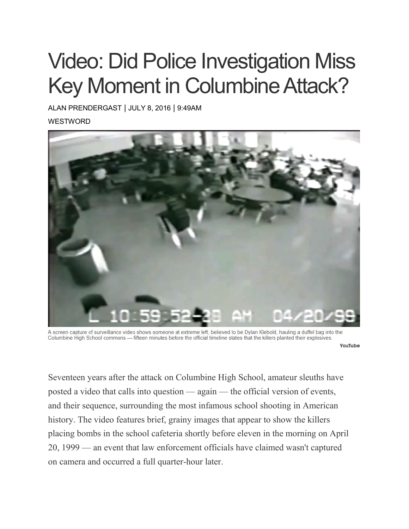## Video: Did Police Investigation Miss Key Moment in Columbine Attack?

ALAN [PRENDERGAST](https://www.westword.com/authors/alan-prendergast-5052731) | JULY 8, 2016 | 9:49AM **WESTWORD** 



A screen capture of surveillance video shows someone at extreme left, believed to be Dylan Klebold, hauling a duffel bag into the Columbine High School commons - fifteen minutes before the official timeline states that the killers planted their explosives.

YouTube

Seventeen years after the attack on Columbine High School, amateur sleuths have posted a video that calls into question — again — the official version of events, and their sequence, surrounding the most infamous school shooting in American history. The video features brief, grainy images that appear to show the killers placing bombs in the school cafeteria shortly before eleven in the morning on April 20, 1999 — an event that law enforcement officials have claimed wasn't captured on camera and occurred a full quarter-hour later.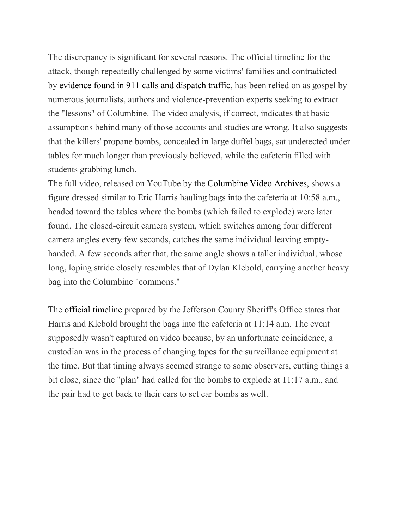The discrepancy is significant for several reasons. The official timeline for the attack, though repeatedly challenged by some victims' families and contradicted by [evidence](https://www.westword.com/news/more-whoppers-from-jeffco-5068270) found in 911 calls and dispatch traffic, has been relied on as gospel by numerous journalists, authors and violence-prevention experts seeking to extract the "lessons" of Columbine. The video analysis, if correct, indicates that basic assumptions behind many of those accounts and studies are wrong. It also suggests that the killers' propane bombs, concealed in large duffel bags, sat undetected under tables for much longer than previously believed, while the cafeteria filled with students grabbing lunch.

The full video, released on YouTube by the [Columbine](https://www.youtube.com/watch?v=nJxRdzinO_w) Video Archives, shows a figure dressed similar to Eric Harris hauling bags into the cafeteria at 10:58 a.m., headed toward the tables where the bombs (which failed to explode) were later found. The closed-circuit camera system, which switches among four different camera angles every few seconds, catches the same individual leaving emptyhanded. A few seconds after that, the same angle shows a taller individual, whose long, loping stride closely resembles that of Dylan Klebold, carrying another heavy bag into the Columbine "commons."

The official [timeline](https://web.archive.org/web/20010608194620/http:/www.salon.com/news/special/columbine_report/NARRATIVE_Time_Line.htm) prepared by the Jefferson County Sheriff's Office states that Harris and Klebold brought the bags into the cafeteria at 11:14 a.m. The event supposedly wasn't captured on video because, by an unfortunate coincidence, a custodian was in the process of changing tapes for the surveillance equipment at the time. But that timing always seemed strange to some observers, cutting things a bit close, since the "plan" had called for the bombs to explode at 11:17 a.m., and the pair had to get back to their cars to set car bombs as well.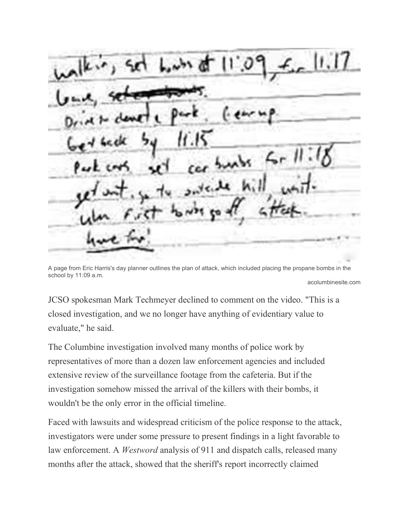$\vert 1,1 \vert$ 

A page from Eric Harris's day planner outlines the plan of attack, which included placing the propane bombs in the school by 11:09 a.m. acolumbinesite.com

JCSO spokesman Mark Techmeyer declined to comment on the video. "This is a closed investigation, and we no longer have anything of evidentiary value to evaluate," he said.

The Columbine investigation involved many months of police work by representatives of more than a dozen law enforcement agencies and included extensive review of the surveillance footage from the cafeteria. But if the investigation somehow missed the arrival of the killers with their bombs, it wouldn't be the only error in the official timeline.

Faced with lawsuits and widespread criticism of the police response to the attack, investigators were under some pressure to present findings in a light favorable to law enforcement. A *Westword* analysis of 911 and dispatch calls, released many months after the attack, showed that the sheriff's report incorrectly claimed